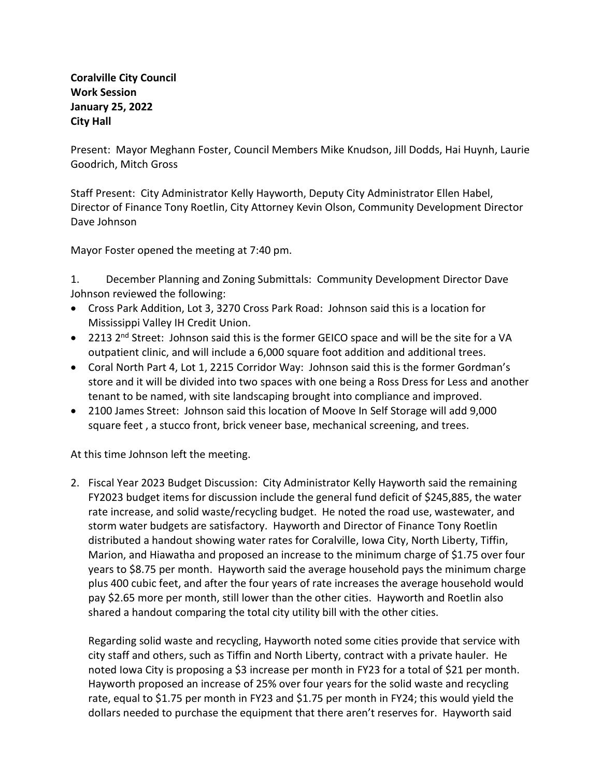## **Coralville City Council Work Session January 25, 2022 City Hall**

Present: Mayor Meghann Foster, Council Members Mike Knudson, Jill Dodds, Hai Huynh, Laurie Goodrich, Mitch Gross

Staff Present: City Administrator Kelly Hayworth, Deputy City Administrator Ellen Habel, Director of Finance Tony Roetlin, City Attorney Kevin Olson, Community Development Director Dave Johnson

Mayor Foster opened the meeting at 7:40 pm.

1. December Planning and Zoning Submittals: Community Development Director Dave Johnson reviewed the following:

- Cross Park Addition, Lot 3, 3270 Cross Park Road: Johnson said this is a location for Mississippi Valley IH Credit Union.
- 2213 2<sup>nd</sup> Street: Johnson said this is the former GEICO space and will be the site for a VA outpatient clinic, and will include a 6,000 square foot addition and additional trees.
- Coral North Part 4, Lot 1, 2215 Corridor Way: Johnson said this is the former Gordman's store and it will be divided into two spaces with one being a Ross Dress for Less and another tenant to be named, with site landscaping brought into compliance and improved.
- 2100 James Street: Johnson said this location of Moove In Self Storage will add 9,000 square feet , a stucco front, brick veneer base, mechanical screening, and trees.

At this time Johnson left the meeting.

2. Fiscal Year 2023 Budget Discussion: City Administrator Kelly Hayworth said the remaining FY2023 budget items for discussion include the general fund deficit of \$245,885, the water rate increase, and solid waste/recycling budget. He noted the road use, wastewater, and storm water budgets are satisfactory. Hayworth and Director of Finance Tony Roetlin distributed a handout showing water rates for Coralville, Iowa City, North Liberty, Tiffin, Marion, and Hiawatha and proposed an increase to the minimum charge of \$1.75 over four years to \$8.75 per month. Hayworth said the average household pays the minimum charge plus 400 cubic feet, and after the four years of rate increases the average household would pay \$2.65 more per month, still lower than the other cities. Hayworth and Roetlin also shared a handout comparing the total city utility bill with the other cities.

Regarding solid waste and recycling, Hayworth noted some cities provide that service with city staff and others, such as Tiffin and North Liberty, contract with a private hauler. He noted Iowa City is proposing a \$3 increase per month in FY23 for a total of \$21 per month. Hayworth proposed an increase of 25% over four years for the solid waste and recycling rate, equal to \$1.75 per month in FY23 and \$1.75 per month in FY24; this would yield the dollars needed to purchase the equipment that there aren't reserves for. Hayworth said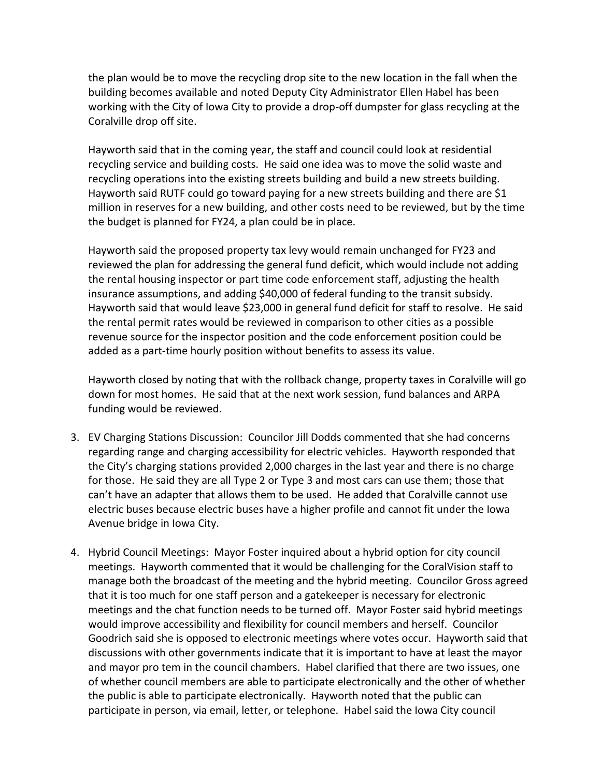the plan would be to move the recycling drop site to the new location in the fall when the building becomes available and noted Deputy City Administrator Ellen Habel has been working with the City of Iowa City to provide a drop-off dumpster for glass recycling at the Coralville drop off site.

Hayworth said that in the coming year, the staff and council could look at residential recycling service and building costs. He said one idea was to move the solid waste and recycling operations into the existing streets building and build a new streets building. Hayworth said RUTF could go toward paying for a new streets building and there are \$1 million in reserves for a new building, and other costs need to be reviewed, but by the time the budget is planned for FY24, a plan could be in place.

Hayworth said the proposed property tax levy would remain unchanged for FY23 and reviewed the plan for addressing the general fund deficit, which would include not adding the rental housing inspector or part time code enforcement staff, adjusting the health insurance assumptions, and adding \$40,000 of federal funding to the transit subsidy. Hayworth said that would leave \$23,000 in general fund deficit for staff to resolve. He said the rental permit rates would be reviewed in comparison to other cities as a possible revenue source for the inspector position and the code enforcement position could be added as a part-time hourly position without benefits to assess its value.

Hayworth closed by noting that with the rollback change, property taxes in Coralville will go down for most homes. He said that at the next work session, fund balances and ARPA funding would be reviewed.

- 3. EV Charging Stations Discussion: Councilor Jill Dodds commented that she had concerns regarding range and charging accessibility for electric vehicles. Hayworth responded that the City's charging stations provided 2,000 charges in the last year and there is no charge for those. He said they are all Type 2 or Type 3 and most cars can use them; those that can't have an adapter that allows them to be used. He added that Coralville cannot use electric buses because electric buses have a higher profile and cannot fit under the Iowa Avenue bridge in Iowa City.
- 4. Hybrid Council Meetings: Mayor Foster inquired about a hybrid option for city council meetings. Hayworth commented that it would be challenging for the CoralVision staff to manage both the broadcast of the meeting and the hybrid meeting. Councilor Gross agreed that it is too much for one staff person and a gatekeeper is necessary for electronic meetings and the chat function needs to be turned off. Mayor Foster said hybrid meetings would improve accessibility and flexibility for council members and herself. Councilor Goodrich said she is opposed to electronic meetings where votes occur. Hayworth said that discussions with other governments indicate that it is important to have at least the mayor and mayor pro tem in the council chambers. Habel clarified that there are two issues, one of whether council members are able to participate electronically and the other of whether the public is able to participate electronically. Hayworth noted that the public can participate in person, via email, letter, or telephone. Habel said the Iowa City council